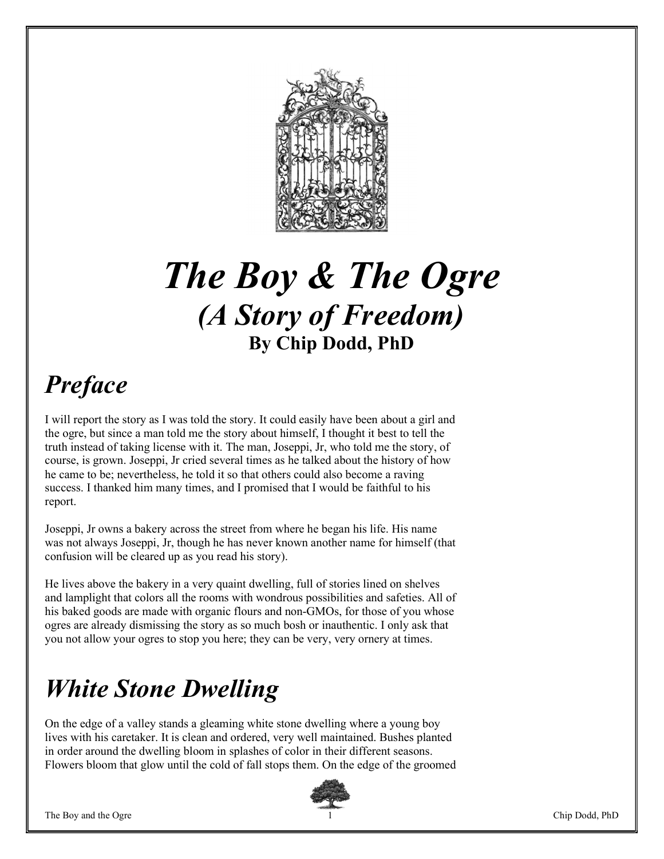

# The Boy & The Ogre (A Story of Freedom) By Chip Dodd, PhD

## Preface

I will report the story as I was told the story. It could easily have been about a girl and the ogre, but since a man told me the story about himself, I thought it best to tell the truth instead of taking license with it. The man, Joseppi, Jr, who told me the story, of course, is grown. Joseppi, Jr cried several times as he talked about the history of how he came to be; nevertheless, he told it so that others could also become a raving success. I thanked him many times, and I promised that I would be faithful to his report.

Joseppi, Jr owns a bakery across the street from where he began his life. His name was not always Joseppi, Jr, though he has never known another name for himself (that confusion will be cleared up as you read his story).

He lives above the bakery in a very quaint dwelling, full of stories lined on shelves and lamplight that colors all the rooms with wondrous possibilities and safeties. All of his baked goods are made with organic flours and non-GMOs, for those of you whose ogres are already dismissing the story as so much bosh or inauthentic. I only ask that you not allow your ogres to stop you here; they can be very, very ornery at times.

### White Stone Dwelling

On the edge of a valley stands a gleaming white stone dwelling where a young boy lives with his caretaker. It is clean and ordered, very well maintained. Bushes planted in order around the dwelling bloom in splashes of color in their different seasons. Flowers bloom that glow until the cold of fall stops them. On the edge of the groomed

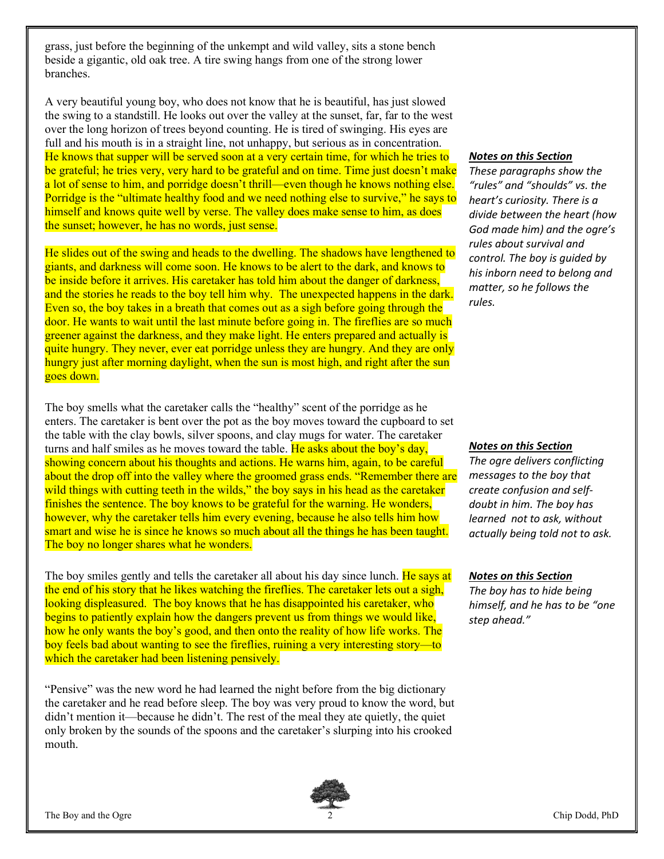grass, just before the beginning of the unkempt and wild valley, sits a stone bench beside a gigantic, old oak tree. A tire swing hangs from one of the strong lower branches.

A very beautiful young boy, who does not know that he is beautiful, has just slowed the swing to a standstill. He looks out over the valley at the sunset, far, far to the west over the long horizon of trees beyond counting. He is tired of swinging. His eyes are full and his mouth is in a straight line, not unhappy, but serious as in concentration. He knows that supper will be served soon at a very certain time, for which he tries to be grateful; he tries very, very hard to be grateful and on time. Time just doesn't make a lot of sense to him, and porridge doesn't thrill—even though he knows nothing else. Porridge is the "ultimate healthy food and we need nothing else to survive," he says to himself and knows quite well by verse. The valley does make sense to him, as does the sunset; however, he has no words, just sense.

He slides out of the swing and heads to the dwelling. The shadows have lengthened to giants, and darkness will come soon. He knows to be alert to the dark, and knows to be inside before it arrives. His caretaker has told him about the danger of darkness, and the stories he reads to the boy tell him why. The unexpected happens in the dark. Even so, the boy takes in a breath that comes out as a sigh before going through the door. He wants to wait until the last minute before going in. The fireflies are so much greener against the darkness, and they make light. He enters prepared and actually is quite hungry. They never, ever eat porridge unless they are hungry. And they are only hungry just after morning daylight, when the sun is most high, and right after the sun goes down.

The boy smells what the caretaker calls the "healthy" scent of the porridge as he enters. The caretaker is bent over the pot as the boy moves toward the cupboard to set the table with the clay bowls, silver spoons, and clay mugs for water. The caretaker turns and half smiles as he moves toward the table. He asks about the boy's day, showing concern about his thoughts and actions. He warns him, again, to be careful about the drop off into the valley where the groomed grass ends. "Remember there are wild things with cutting teeth in the wilds," the boy says in his head as the caretaker finishes the sentence. The boy knows to be grateful for the warning. He wonders, however, why the caretaker tells him every evening, because he also tells him how smart and wise he is since he knows so much about all the things he has been taught. The boy no longer shares what he wonders.

The boy smiles gently and tells the caretaker all about his day since lunch. He says at the end of his story that he likes watching the fireflies. The caretaker lets out a sigh, looking displeasured. The boy knows that he has disappointed his caretaker, who begins to patiently explain how the dangers prevent us from things we would like, how he only wants the boy's good, and then onto the reality of how life works. The boy feels bad about wanting to see the fireflies, ruining a very interesting story—to which the caretaker had been listening pensively.

"Pensive" was the new word he had learned the night before from the big dictionary the caretaker and he read before sleep. The boy was very proud to know the word, but didn't mention it—because he didn't. The rest of the meal they ate quietly, the quiet only broken by the sounds of the spoons and the caretaker's slurping into his crooked mouth.

### Notes on this Section

These paragraphs show the "rules" and "shoulds" vs. the heart's curiosity. There is a divide between the heart (how God made him) and the ogre's rules about survival and control. The boy is guided by his inborn need to belong and matter, so he follows the rules.

### Notes on this Section

The ogre delivers conflicting messages to the boy that create confusion and selfdoubt in him. The boy has learned not to ask, without actually being told not to ask.

#### Notes on this Section

The boy has to hide being himself, and he has to be "one step ahead."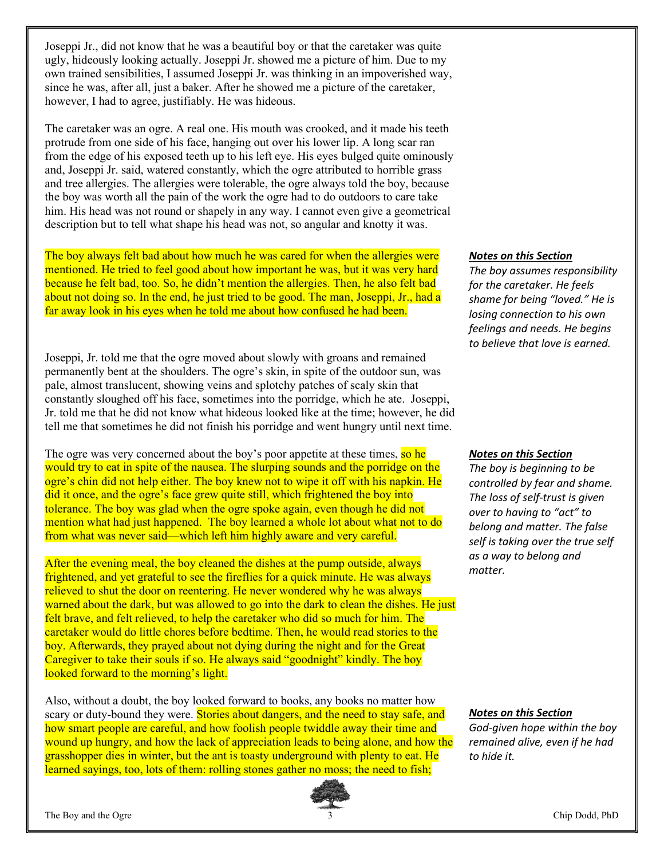Joseppi Jr., did not know that he was a beautiful boy or that the caretaker was quite ugly, hideously looking actually. Joseppi Jr. showed me a picture of him. Due to my own trained sensibilities, I assumed Joseppi Jr. was thinking in an impoverished way, since he was, after all, just a baker. After he showed me a picture of the caretaker, however, I had to agree, justifiably. He was hideous.

The caretaker was an ogre. A real one. His mouth was crooked, and it made his teeth protrude from one side of his face, hanging out over his lower lip. A long scar ran from the edge of his exposed teeth up to his left eye. His eyes bulged quite ominously and, Joseppi Jr. said, watered constantly, which the ogre attributed to horrible grass and tree allergies. The allergies were tolerable, the ogre always told the boy, because the boy was worth all the pain of the work the ogre had to do outdoors to care take him. His head was not round or shapely in any way. I cannot even give a geometrical description but to tell what shape his head was not, so angular and knotty it was.

The boy always felt bad about how much he was cared for when the allergies were mentioned. He tried to feel good about how important he was, but it was very hard because he felt bad, too. So, he didn't mention the allergies. Then, he also felt bad about not doing so. In the end, he just tried to be good. The man, Joseppi, Jr., had a far away look in his eyes when he told me about how confused he had been.

Joseppi, Jr. told me that the ogre moved about slowly with groans and remained permanently bent at the shoulders. The ogre's skin, in spite of the outdoor sun, was pale, almost translucent, showing veins and splotchy patches of scaly skin that constantly sloughed off his face, sometimes into the porridge, which he ate. Joseppi, Jr. told me that he did not know what hideous looked like at the time; however, he did tell me that sometimes he did not finish his porridge and went hungry until next time.

The ogre was very concerned about the boy's poor appetite at these times, so he would try to eat in spite of the nausea. The slurping sounds and the porridge on the ogre's chin did not help either. The boy knew not to wipe it off with his napkin. He did it once, and the ogre's face grew quite still, which frightened the boy into tolerance. The boy was glad when the ogre spoke again, even though he did not mention what had just happened. The boy learned a whole lot about what not to do from what was never said—which left him highly aware and very careful.

After the evening meal, the boy cleaned the dishes at the pump outside, always frightened, and yet grateful to see the fireflies for a quick minute. He was always relieved to shut the door on reentering. He never wondered why he was always warned about the dark, but was allowed to go into the dark to clean the dishes. He just felt brave, and felt relieved, to help the caretaker who did so much for him. The caretaker would do little chores before bedtime. Then, he would read stories to the boy. Afterwards, they prayed about not dying during the night and for the Great Caregiver to take their souls if so. He always said "goodnight" kindly. The boy looked forward to the morning's light.

Also, without a doubt, the boy looked forward to books, any books no matter how scary or duty-bound they were. **Stories about dangers, and the need to stay safe, and** how smart people are careful, and how foolish people twiddle away their time and wound up hungry, and how the lack of appreciation leads to being alone, and how the grasshopper dies in winter, but the ant is toasty underground with plenty to eat. He learned sayings, too, lots of them: rolling stones gather no moss; the need to fish;



### Notes on this Section

The boy assumes responsibility for the caretaker. He feels shame for being "loved." He is losing connection to his own feelings and needs. He begins to believe that love is earned.

### Notes on this Section

The boy is beginning to be controlled by fear and shame. The loss of self-trust is given over to having to "act" to belong and matter. The false self is taking over the true self as a way to belong and matter.

Notes on this Section

God-given hope within the boy remained alive, even if he had to hide it.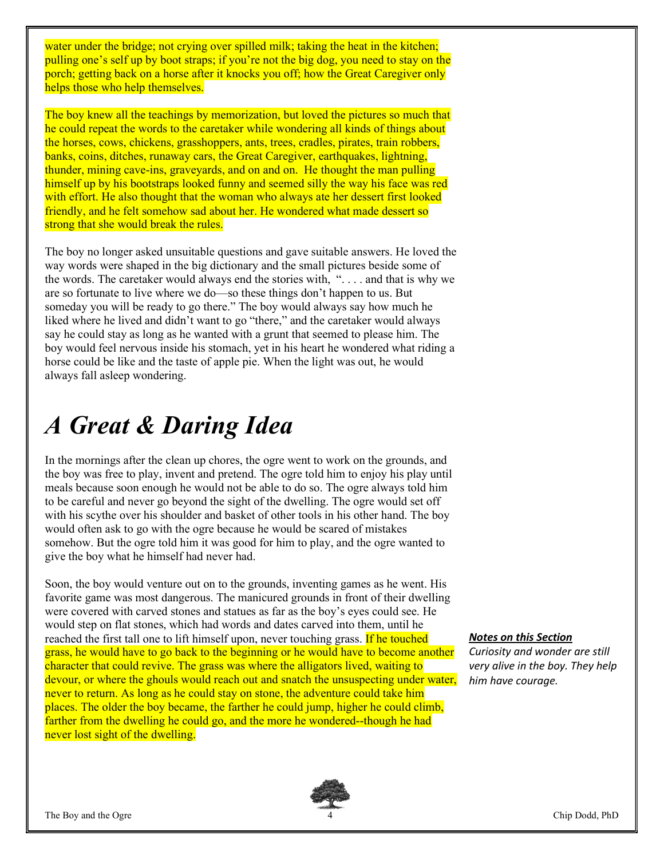water under the bridge; not crying over spilled milk; taking the heat in the kitchen; pulling one's self up by boot straps; if you're not the big dog, you need to stay on the porch; getting back on a horse after it knocks you off; how the Great Caregiver only helps those who help themselves.

The boy knew all the teachings by memorization, but loved the pictures so much that he could repeat the words to the caretaker while wondering all kinds of things about the horses, cows, chickens, grasshoppers, ants, trees, cradles, pirates, train robbers, banks, coins, ditches, runaway cars, the Great Caregiver, earthquakes, lightning, thunder, mining cave-ins, graveyards, and on and on. He thought the man pulling himself up by his bootstraps looked funny and seemed silly the way his face was red with effort. He also thought that the woman who always ate her dessert first looked friendly, and he felt somehow sad about her. He wondered what made dessert so strong that she would break the rules.

The boy no longer asked unsuitable questions and gave suitable answers. He loved the way words were shaped in the big dictionary and the small pictures beside some of the words. The caretaker would always end the stories with, ". . . . and that is why we are so fortunate to live where we do—so these things don't happen to us. But someday you will be ready to go there." The boy would always say how much he liked where he lived and didn't want to go "there," and the caretaker would always say he could stay as long as he wanted with a grunt that seemed to please him. The boy would feel nervous inside his stomach, yet in his heart he wondered what riding a horse could be like and the taste of apple pie. When the light was out, he would always fall asleep wondering.

### A Great & Daring Idea

In the mornings after the clean up chores, the ogre went to work on the grounds, and the boy was free to play, invent and pretend. The ogre told him to enjoy his play until meals because soon enough he would not be able to do so. The ogre always told him to be careful and never go beyond the sight of the dwelling. The ogre would set off with his scythe over his shoulder and basket of other tools in his other hand. The boy would often ask to go with the ogre because he would be scared of mistakes somehow. But the ogre told him it was good for him to play, and the ogre wanted to give the boy what he himself had never had.

Soon, the boy would venture out on to the grounds, inventing games as he went. His favorite game was most dangerous. The manicured grounds in front of their dwelling were covered with carved stones and statues as far as the boy's eyes could see. He would step on flat stones, which had words and dates carved into them, until he reached the first tall one to lift himself upon, never touching grass. If he touched grass, he would have to go back to the beginning or he would have to become another character that could revive. The grass was where the alligators lived, waiting to devour, or where the ghouls would reach out and snatch the unsuspecting under water, never to return. As long as he could stay on stone, the adventure could take him places. The older the boy became, the farther he could jump, higher he could climb, farther from the dwelling he could go, and the more he wondered--though he had never lost sight of the dwelling.

### Notes on this Section

Curiosity and wonder are still very alive in the boy. They help him have courage.

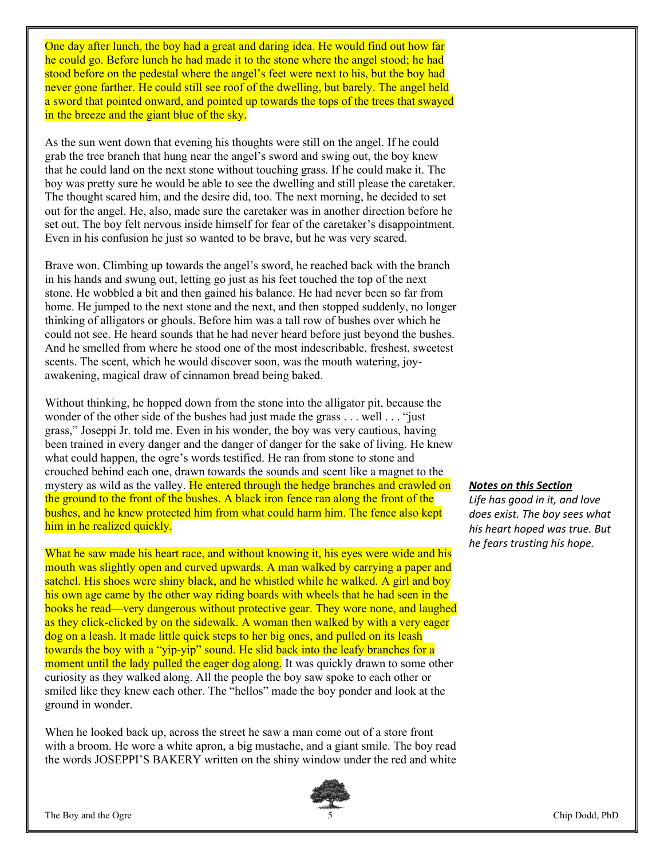One day after lunch, the boy had a great and daring idea. He would find out how far he could go. Before lunch he had made it to the stone where the angel stood; he had stood before on the pedestal where the angel's feet were next to his, but the boy had never gone farther. He could still see roof of the dwelling, but barely. The angel held a sword that pointed onward, and pointed up towards the tops of the trees that swayed in the breeze and the giant blue of the sky.

As the sun went down that evening his thoughts were still on the angel. If he could grab the tree branch that hung near the angel's sword and swing out, the boy knew that he could land on the next stone without touching grass. If he could make it. The boy was pretty sure he would be able to see the dwelling and still please the caretaker. The thought scared him, and the desire did, too. The next morning, he decided to set out for the angel. He, also, made sure the caretaker was in another direction before he set out. The boy felt nervous inside himself for fear of the caretaker's disappointment. Even in his confusion he just so wanted to be brave, but he was very scared.

Brave won. Climbing up towards the angel's sword, he reached back with the branch in his hands and swung out, letting go just as his feet touched the top of the next stone. He wobbled a bit and then gained his balance. He had never been so far from home. He jumped to the next stone and the next, and then stopped suddenly, no longer thinking of alligators or ghouls. Before him was a tall row of bushes over which he could not see. He heard sounds that he had never heard before just beyond the bushes. And he smelled from where he stood one of the most indescribable, freshest, sweetest scents. The scent, which he would discover soon, was the mouth watering, joyawakening, magical draw of cinnamon bread being baked.

Without thinking, he hopped down from the stone into the alligator pit, because the wonder of the other side of the bushes had just made the grass . . . well . . . "just grass," Joseppi Jr. told me. Even in his wonder, the boy was very cautious, having been trained in every danger and the danger of danger for the sake of living. He knew what could happen, the ogre's words testified. He ran from stone to stone and crouched behind each one, drawn towards the sounds and scent like a magnet to the mystery as wild as the valley. He entered through the hedge branches and crawled on the ground to the front of the bushes. A black iron fence ran along the front of the bushes, and he knew protected him from what could harm him. The fence also kept him in he realized quickly.

What he saw made his heart race, and without knowing it, his eyes were wide and his mouth was slightly open and curved upwards. A man walked by carrying a paper and satchel. His shoes were shiny black, and he whistled while he walked. A girl and boy his own age came by the other way riding boards with wheels that he had seen in the books he read—very dangerous without protective gear. They wore none, and laughed as they click-clicked by on the sidewalk. A woman then walked by with a very eager dog on a leash. It made little quick steps to her big ones, and pulled on its leash towards the boy with a "yip-yip" sound. He slid back into the leafy branches for a moment until the lady pulled the eager dog along. It was quickly drawn to some other curiosity as they walked along. All the people the boy saw spoke to each other or smiled like they knew each other. The "hellos" made the boy ponder and look at the ground in wonder.

When he looked back up, across the street he saw a man come out of a store front with a broom. He wore a white apron, a big mustache, and a giant smile. The boy read the words JOSEPPI'S BAKERY written on the shiny window under the red and white



#### Notes on this Section

Life has good in it, and love does exist. The boy sees what his heart hoped was true. But he fears trusting his hope.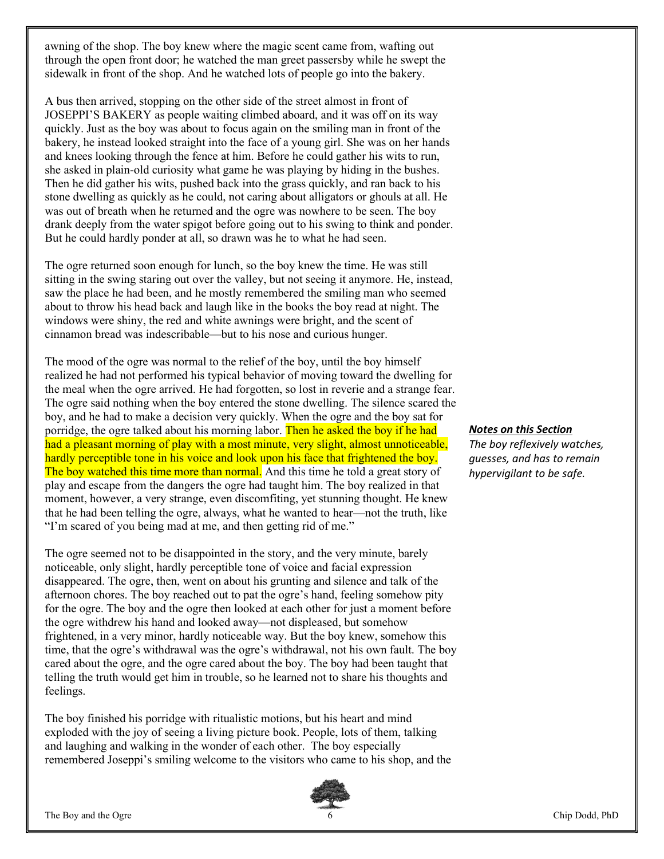awning of the shop. The boy knew where the magic scent came from, wafting out through the open front door; he watched the man greet passersby while he swept the sidewalk in front of the shop. And he watched lots of people go into the bakery.

A bus then arrived, stopping on the other side of the street almost in front of JOSEPPI'S BAKERY as people waiting climbed aboard, and it was off on its way quickly. Just as the boy was about to focus again on the smiling man in front of the bakery, he instead looked straight into the face of a young girl. She was on her hands and knees looking through the fence at him. Before he could gather his wits to run, she asked in plain-old curiosity what game he was playing by hiding in the bushes. Then he did gather his wits, pushed back into the grass quickly, and ran back to his stone dwelling as quickly as he could, not caring about alligators or ghouls at all. He was out of breath when he returned and the ogre was nowhere to be seen. The boy drank deeply from the water spigot before going out to his swing to think and ponder. But he could hardly ponder at all, so drawn was he to what he had seen.

The ogre returned soon enough for lunch, so the boy knew the time. He was still sitting in the swing staring out over the valley, but not seeing it anymore. He, instead, saw the place he had been, and he mostly remembered the smiling man who seemed about to throw his head back and laugh like in the books the boy read at night. The windows were shiny, the red and white awnings were bright, and the scent of cinnamon bread was indescribable—but to his nose and curious hunger.

The mood of the ogre was normal to the relief of the boy, until the boy himself realized he had not performed his typical behavior of moving toward the dwelling for the meal when the ogre arrived. He had forgotten, so lost in reverie and a strange fear. The ogre said nothing when the boy entered the stone dwelling. The silence scared the boy, and he had to make a decision very quickly. When the ogre and the boy sat for porridge, the ogre talked about his morning labor. Then he asked the boy if he had had a pleasant morning of play with a most minute, very slight, almost unnoticeable, hardly perceptible tone in his voice and look upon his face that frightened the boy. The boy watched this time more than normal. And this time he told a great story of play and escape from the dangers the ogre had taught him. The boy realized in that moment, however, a very strange, even discomfiting, yet stunning thought. He knew that he had been telling the ogre, always, what he wanted to hear—not the truth, like "I'm scared of you being mad at me, and then getting rid of me."

The ogre seemed not to be disappointed in the story, and the very minute, barely noticeable, only slight, hardly perceptible tone of voice and facial expression disappeared. The ogre, then, went on about his grunting and silence and talk of the afternoon chores. The boy reached out to pat the ogre's hand, feeling somehow pity for the ogre. The boy and the ogre then looked at each other for just a moment before the ogre withdrew his hand and looked away—not displeased, but somehow frightened, in a very minor, hardly noticeable way. But the boy knew, somehow this time, that the ogre's withdrawal was the ogre's withdrawal, not his own fault. The boy cared about the ogre, and the ogre cared about the boy. The boy had been taught that telling the truth would get him in trouble, so he learned not to share his thoughts and feelings.

The boy finished his porridge with ritualistic motions, but his heart and mind exploded with the joy of seeing a living picture book. People, lots of them, talking and laughing and walking in the wonder of each other. The boy especially remembered Joseppi's smiling welcome to the visitors who came to his shop, and the



Notes on this Section

The boy reflexively watches, guesses, and has to remain hypervigilant to be safe.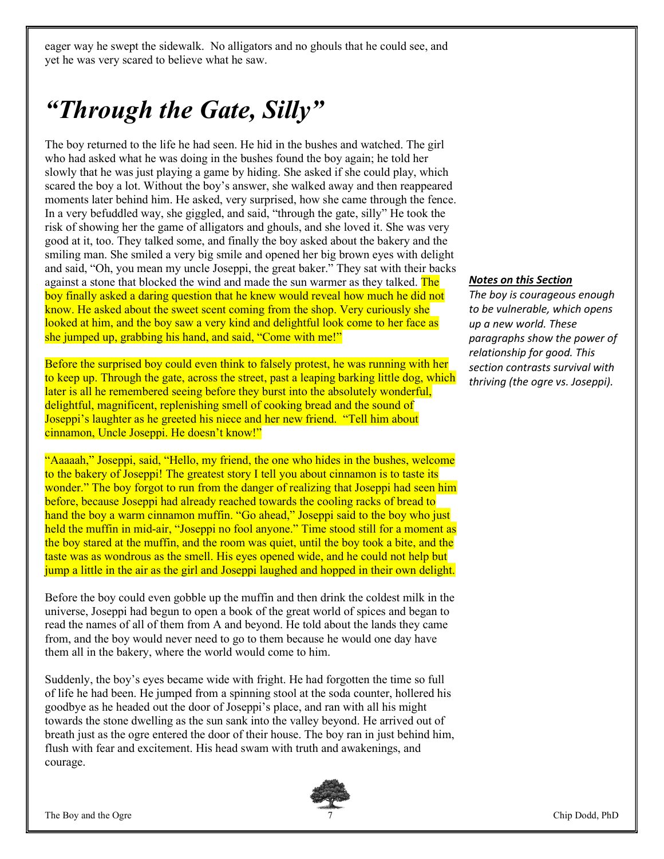eager way he swept the sidewalk. No alligators and no ghouls that he could see, and yet he was very scared to believe what he saw.

### "Through the Gate, Silly"

The boy returned to the life he had seen. He hid in the bushes and watched. The girl who had asked what he was doing in the bushes found the boy again; he told her slowly that he was just playing a game by hiding. She asked if she could play, which scared the boy a lot. Without the boy's answer, she walked away and then reappeared moments later behind him. He asked, very surprised, how she came through the fence. In a very befuddled way, she giggled, and said, "through the gate, silly" He took the risk of showing her the game of alligators and ghouls, and she loved it. She was very good at it, too. They talked some, and finally the boy asked about the bakery and the smiling man. She smiled a very big smile and opened her big brown eyes with delight and said, "Oh, you mean my uncle Joseppi, the great baker." They sat with their backs against a stone that blocked the wind and made the sun warmer as they talked. The boy finally asked a daring question that he knew would reveal how much he did not know. He asked about the sweet scent coming from the shop. Very curiously she looked at him, and the boy saw a very kind and delightful look come to her face as she jumped up, grabbing his hand, and said, "Come with me!"

Before the surprised boy could even think to falsely protest, he was running with her to keep up. Through the gate, across the street, past a leaping barking little dog, which later is all he remembered seeing before they burst into the absolutely wonderful, delightful, magnificent, replenishing smell of cooking bread and the sound of Joseppi's laughter as he greeted his niece and her new friend. "Tell him about cinnamon, Uncle Joseppi. He doesn't know!"

"Aaaaah," Joseppi, said, "Hello, my friend, the one who hides in the bushes, welcome to the bakery of Joseppi! The greatest story I tell you about cinnamon is to taste its wonder." The boy forgot to run from the danger of realizing that Joseppi had seen him before, because Joseppi had already reached towards the cooling racks of bread to hand the boy a warm cinnamon muffin. "Go ahead," Joseppi said to the boy who just held the muffin in mid-air, "Joseppi no fool anyone." Time stood still for a moment as the boy stared at the muffin, and the room was quiet, until the boy took a bite, and the taste was as wondrous as the smell. His eyes opened wide, and he could not help but jump a little in the air as the girl and Joseppi laughed and hopped in their own delight.

Before the boy could even gobble up the muffin and then drink the coldest milk in the universe, Joseppi had begun to open a book of the great world of spices and began to read the names of all of them from A and beyond. He told about the lands they came from, and the boy would never need to go to them because he would one day have them all in the bakery, where the world would come to him.

Suddenly, the boy's eyes became wide with fright. He had forgotten the time so full of life he had been. He jumped from a spinning stool at the soda counter, hollered his goodbye as he headed out the door of Joseppi's place, and ran with all his might towards the stone dwelling as the sun sank into the valley beyond. He arrived out of breath just as the ogre entered the door of their house. The boy ran in just behind him, flush with fear and excitement. His head swam with truth and awakenings, and courage.



### Notes on this Section

The boy is courageous enough to be vulnerable, which opens up a new world. These paragraphs show the power of relationship for good. This section contrasts survival with thriving (the ogre vs. Joseppi).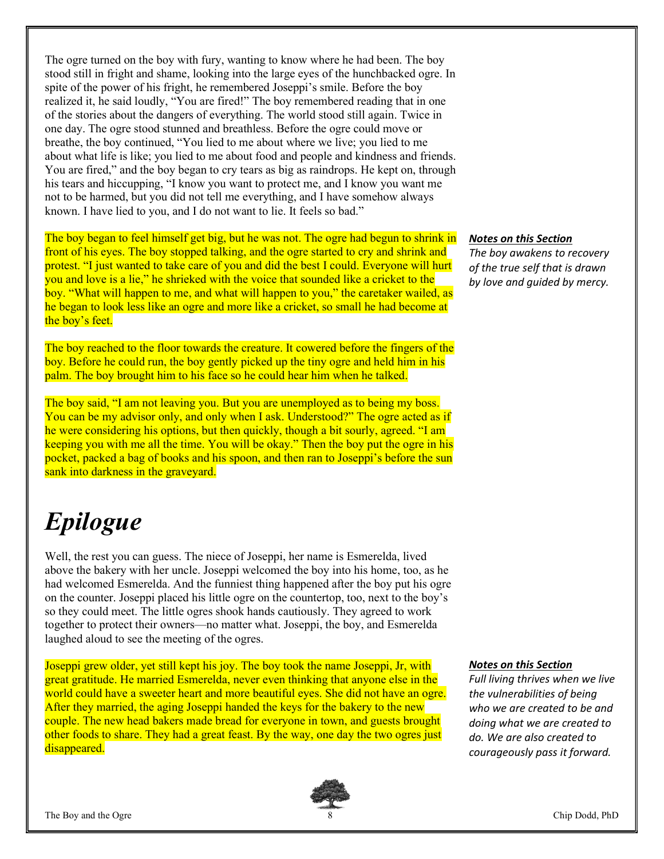The ogre turned on the boy with fury, wanting to know where he had been. The boy stood still in fright and shame, looking into the large eyes of the hunchbacked ogre. In spite of the power of his fright, he remembered Joseppi's smile. Before the boy realized it, he said loudly, "You are fired!" The boy remembered reading that in one of the stories about the dangers of everything. The world stood still again. Twice in one day. The ogre stood stunned and breathless. Before the ogre could move or breathe, the boy continued, "You lied to me about where we live; you lied to me about what life is like; you lied to me about food and people and kindness and friends. You are fired," and the boy began to cry tears as big as raindrops. He kept on, through his tears and hiccupping, "I know you want to protect me, and I know you want me not to be harmed, but you did not tell me everything, and I have somehow always known. I have lied to you, and I do not want to lie. It feels so bad."

The boy began to feel himself get big, but he was not. The ogre had begun to shrink in front of his eyes. The boy stopped talking, and the ogre started to cry and shrink and protest. "I just wanted to take care of you and did the best I could. Everyone will hurt you and love is a lie," he shrieked with the voice that sounded like a cricket to the boy. "What will happen to me, and what will happen to you," the caretaker wailed, as he began to look less like an ogre and more like a cricket, so small he had become at the boy's feet.

The boy reached to the floor towards the creature. It cowered before the fingers of the boy. Before he could run, the boy gently picked up the tiny ogre and held him in his palm. The boy brought him to his face so he could hear him when he talked.

The boy said, "I am not leaving you. But you are unemployed as to being my boss. You can be my advisor only, and only when I ask. Understood?" The ogre acted as if he were considering his options, but then quickly, though a bit sourly, agreed. "I am keeping you with me all the time. You will be okay." Then the boy put the ogre in his pocket, packed a bag of books and his spoon, and then ran to Joseppi's before the sun sank into darkness in the graveyard.

## Epilogue

Well, the rest you can guess. The niece of Joseppi, her name is Esmerelda, lived above the bakery with her uncle. Joseppi welcomed the boy into his home, too, as he had welcomed Esmerelda. And the funniest thing happened after the boy put his ogre on the counter. Joseppi placed his little ogre on the countertop, too, next to the boy's so they could meet. The little ogres shook hands cautiously. They agreed to work together to protect their owners—no matter what. Joseppi, the boy, and Esmerelda laughed aloud to see the meeting of the ogres.

Joseppi grew older, yet still kept his joy. The boy took the name Joseppi, Jr, with great gratitude. He married Esmerelda, never even thinking that anyone else in the world could have a sweeter heart and more beautiful eyes. She did not have an ogre. After they married, the aging Joseppi handed the keys for the bakery to the new couple. The new head bakers made bread for everyone in town, and guests brought other foods to share. They had a great feast. By the way, one day the two ogres just disappeared.

### Notes on this Section

The boy awakens to recovery of the true self that is drawn by love and guided by mercy.

### Notes on this Section

Full living thrives when we live the vulnerabilities of being who we are created to be and doing what we are created to do. We are also created to courageously pass it forward.